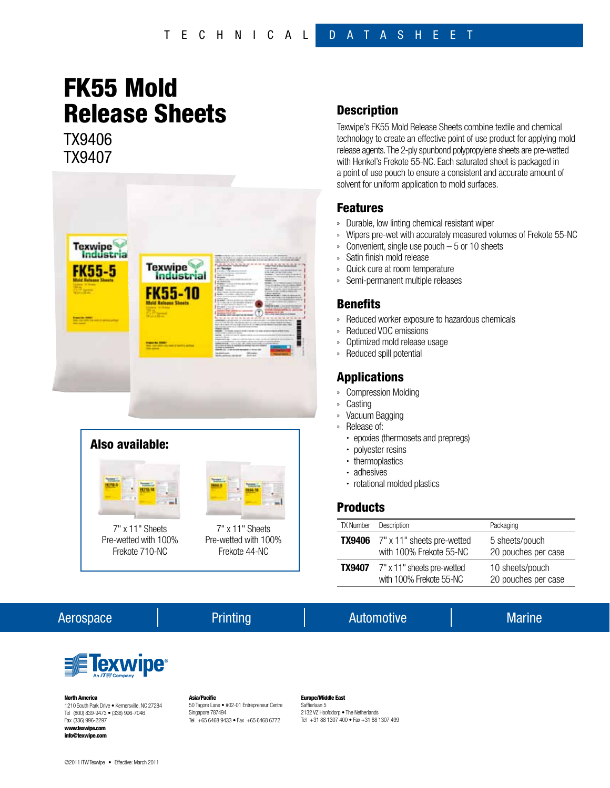# FK55 Mold Release Sheets

TX9406 TX9407





#### **Description**

Texwipe's FK55 Mold Release Sheets combine textile and chemical technology to create an effective point of use product for applying mold release agents. The 2-ply spunbond polypropylene sheets are pre-wetted with Henkel's Frekote 55-NC. Each saturated sheet is packaged in a point of use pouch to ensure a consistent and accurate amount of solvent for uniform application to mold surfaces.

#### Features

- » Durable, low linting chemical resistant wiper
- » Wipers pre-wet with accurately measured volumes of Frekote 55-NC
- » Convenient, single use pouch 5 or 10 sheets
- Satin finish mold release
- » Quick cure at room temperature
- Semi-permanent multiple releases

#### **Benefits**

- » Reduced worker exposure to hazardous chemicals
- » Reduced VOC emissions
- » Optimized mold release usage
- » Reduced spill potential

### Applications

- » Compression Molding
- » Casting
- » Vacuum Bagging
- » Release of:
	- epoxies (thermosets and prepregs)
	- polyester resins
	- thermoplastics
	- adhesives
	- rotational molded plastics

## **Products**

| <b>TX Number</b> | Description                                                                | Packaging                              |
|------------------|----------------------------------------------------------------------------|----------------------------------------|
|                  | <b>TX9406</b> $7" \times 11"$ sheets pre-wetted<br>with 100% Frekote 55-NC | 5 sheets/pouch<br>20 pouches per case  |
| <b>TX9407</b>    | 7" x 11" sheets pre-wetted<br>with 100% Frekote 55-NC                      | 10 sheets/pouch<br>20 pouches per case |

### Aerospace Automotive Automotive Automotive Marine



#### North America

1210 South Park Drive • Kernersville, NC 27284 Tel (800) 839-9473 • (336) 996-7046 Fax (336) 996-2297 www.texwipe.com info@texwipe.com

©2011 ITW Texwipe • Effective: March 2011

Asia/Pacific 50 Tagore Lane • #02-01 Entrepreneur Centre Singapore 787494 Tel +65 6468 9433 • Fax +65 6468 6772

#### Europe/Middle East Saffierlaan 5

2132 VZ Hoofddorp • The Netherlands Tel +31 88 1307 400 • Fax +31 88 1307 499